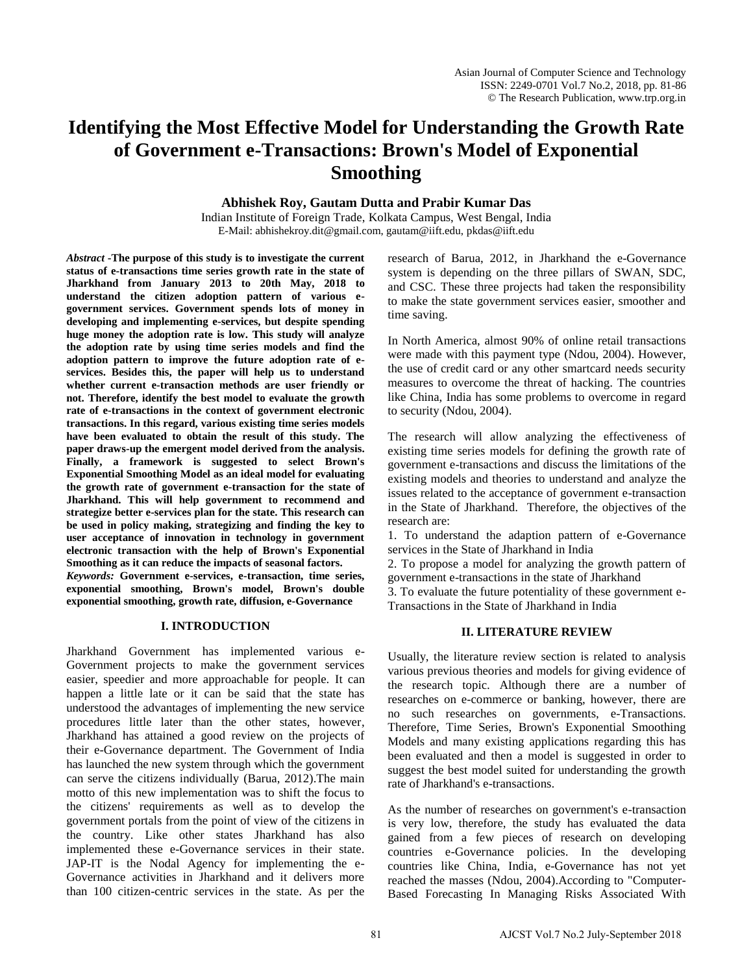# **Identifying the Most Effective Model for Understanding the Growth Rate of Government e-Transactions: Brown's Model of Exponential Smoothing**

## **Abhishek Roy, Gautam Dutta and Prabir Kumar Das**

Indian Institute of Foreign Trade, Kolkata Campus, West Bengal, India E-Mail: abhishekroy.dit@gmail.com, gautam@iift.edu, pkdas@iift.edu

*Abstract* **-The purpose of this study is to investigate the current status of e-transactions time series growth rate in the state of Jharkhand from January 2013 to 20th May, 2018 to understand the citizen adoption pattern of various egovernment services. Government spends lots of money in developing and implementing e-services, but despite spending huge money the adoption rate is low. This study will analyze the adoption rate by using time series models and find the adoption pattern to improve the future adoption rate of eservices. Besides this, the paper will help us to understand whether current e-transaction methods are user friendly or not. Therefore, identify the best model to evaluate the growth rate of e-transactions in the context of government electronic transactions. In this regard, various existing time series models have been evaluated to obtain the result of this study. The paper draws-up the emergent model derived from the analysis. Finally, a framework is suggested to select Brown's Exponential Smoothing Model as an ideal model for evaluating the growth rate of government e-transaction for the state of Jharkhand. This will help government to recommend and strategize better e-services plan for the state. This research can be used in policy making, strategizing and finding the key to user acceptance of innovation in technology in government electronic transaction with the help of Brown's Exponential Smoothing as it can reduce the impacts of seasonal factors.** 

*Keywords:* **Government e-services, e-transaction, time series, exponential smoothing, Brown's model, Brown's double exponential smoothing, growth rate, diffusion, e-Governance**

#### **I. INTRODUCTION**

Jharkhand Government has implemented various e-Government projects to make the government services easier, speedier and more approachable for people. It can happen a little late or it can be said that the state has understood the advantages of implementing the new service procedures little later than the other states, however, Jharkhand has attained a good review on the projects of their e-Governance department. The Government of India has launched the new system through which the government can serve the citizens individually (Barua, 2012).The main motto of this new implementation was to shift the focus to the citizens' requirements as well as to develop the government portals from the point of view of the citizens in the country. Like other states Jharkhand has also implemented these e-Governance services in their state. JAP-IT is the Nodal Agency for implementing the e-Governance activities in Jharkhand and it delivers more than 100 citizen-centric services in the state. As per the

research of Barua, 2012, in Jharkhand the e-Governance system is depending on the three pillars of SWAN, SDC, and CSC. These three projects had taken the responsibility to make the state government services easier, smoother and time saving.

In North America, almost 90% of online retail transactions were made with this payment type (Ndou, 2004). However, the use of credit card or any other smartcard needs security measures to overcome the threat of hacking. The countries like China, India has some problems to overcome in regard to security (Ndou, 2004).

The research will allow analyzing the effectiveness of existing time series models for defining the growth rate of government e-transactions and discuss the limitations of the existing models and theories to understand and analyze the issues related to the acceptance of government e-transaction in the State of Jharkhand. Therefore, the objectives of the research are:

1. To understand the adaption pattern of e-Governance services in the State of Jharkhand in India

2. To propose a model for analyzing the growth pattern of government e-transactions in the state of Jharkhand

3. To evaluate the future potentiality of these government e-Transactions in the State of Jharkhand in India

#### **II. LITERATURE REVIEW**

Usually, the literature review section is related to analysis various previous theories and models for giving evidence of the research topic. Although there are a number of researches on e-commerce or banking, however, there are no such researches on governments, e-Transactions. Therefore, Time Series, Brown's Exponential Smoothing Models and many existing applications regarding this has been evaluated and then a model is suggested in order to suggest the best model suited for understanding the growth rate of Jharkhand's e-transactions.

As the number of researches on government's e-transaction is very low, therefore, the study has evaluated the data gained from a few pieces of research on developing countries e-Governance policies. In the developing countries like China, India, e-Governance has not yet reached the masses (Ndou, 2004).According to "Computer-Based Forecasting In Managing Risks Associated With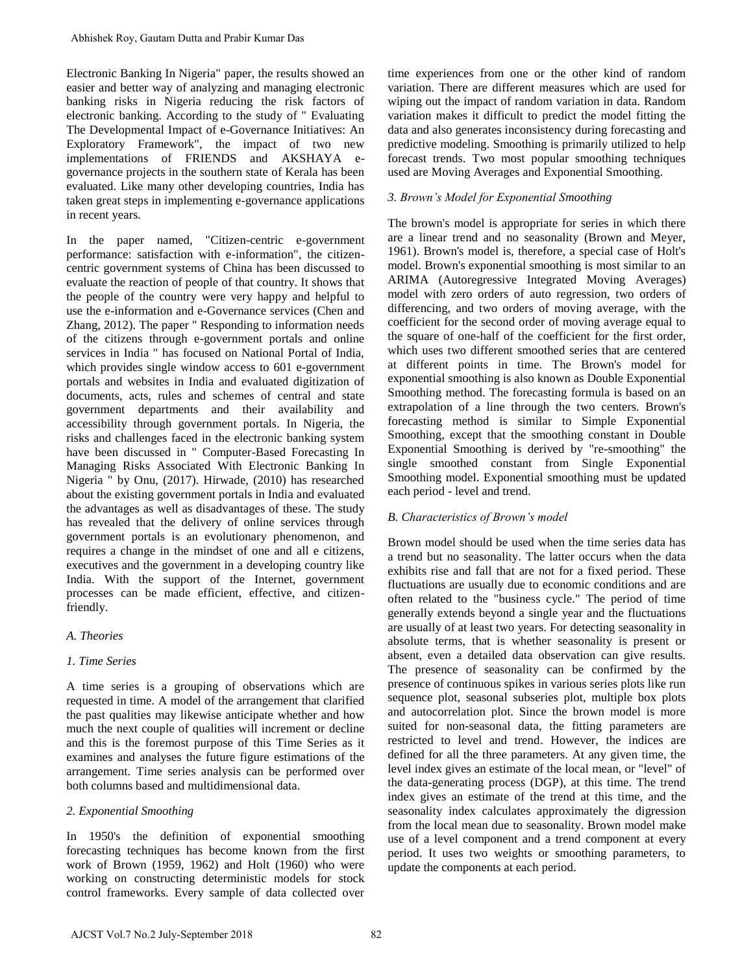Electronic Banking In Nigeria" paper, the results showed an easier and better way of analyzing and managing electronic banking risks in Nigeria reducing the risk factors of electronic banking. According to the study of " Evaluating The Developmental Impact of e-Governance Initiatives: An Exploratory Framework", the impact of two new implementations of FRIENDS and AKSHAYA egovernance projects in the southern state of Kerala has been evaluated. Like many other developing countries, India has taken great steps in implementing e-governance applications in recent years.

In the paper named, "Citizen-centric e-government performance: satisfaction with e-information", the citizencentric government systems of China has been discussed to evaluate the reaction of people of that country. It shows that the people of the country were very happy and helpful to use the e-information and e-Governance services (Chen and Zhang, 2012). The paper " Responding to information needs of the citizens through e-government portals and online services in India " has focused on National Portal of India, which provides single window access to 601 e-government portals and websites in India and evaluated digitization of documents, acts, rules and schemes of central and state government departments and their availability and accessibility through government portals. In Nigeria, the risks and challenges faced in the electronic banking system have been discussed in " Computer-Based Forecasting In Managing Risks Associated With Electronic Banking In Nigeria " by Onu, (2017). Hirwade, (2010) has researched about the existing government portals in India and evaluated the advantages as well as disadvantages of these. The study has revealed that the delivery of online services through government portals is an evolutionary phenomenon, and requires a change in the mindset of one and all e citizens, executives and the government in a developing country like India. With the support of the Internet, government processes can be made efficient, effective, and citizenfriendly. Abhishek Roy, Gautam Dutta and Prabir Kumar Das<br>
alectronic Banking In Nigeria<sup>-</sup> apper, the results followed an<br>
distortion Banking In Nigeria and predict the results of the state<br>
and the state of the state of the state

#### *A. Theories*

#### *1. Time Series*

A time series is a grouping of observations which are requested in time. A model of the arrangement that clarified the past qualities may likewise anticipate whether and how much the next couple of qualities will increment or decline and this is the foremost purpose of this Time Series as it examines and analyses the future figure estimations of the arrangement. Time series analysis can be performed over both columns based and multidimensional data.

#### *2. Exponential Smoothing*

In 1950's the definition of exponential smoothing forecasting techniques has become known from the first work of Brown (1959, 1962) and Holt (1960) who were working on constructing deterministic models for stock control frameworks. Every sample of data collected over

time experiences from one or the other kind of random variation. There are different measures which are used for wiping out the impact of random variation in data. Random variation makes it difficult to predict the model fitting the data and also generates inconsistency during forecasting and predictive modeling. Smoothing is primarily utilized to help forecast trends. Two most popular smoothing techniques used are Moving Averages and Exponential Smoothing.

### *3. Brown's Model for Exponential Smoothing*

The brown's model is appropriate for series in which there are a linear trend and no seasonality (Brown and Meyer, 1961). Brown's model is, therefore, a special case of Holt's model. Brown's exponential smoothing is most similar to an ARIMA (Autoregressive Integrated Moving Averages) model with zero orders of auto regression, two orders of differencing, and two orders of moving average, with the coefficient for the second order of moving average equal to the square of one-half of the coefficient for the first order, which uses two different smoothed series that are centered at different points in time. The Brown's model for exponential smoothing is also known as Double Exponential Smoothing method. The forecasting formula is based on an extrapolation of a line through the two centers. Brown's forecasting method is similar to Simple Exponential Smoothing, except that the smoothing constant in Double Exponential Smoothing is derived by "re-smoothing" the single smoothed constant from Single Exponential Smoothing model. Exponential smoothing must be updated each period - level and trend.

#### *B. Characteristics of Brown's model*

Brown model should be used when the time series data has a trend but no seasonality. The latter occurs when the data exhibits rise and fall that are not for a fixed period. These fluctuations are usually due to economic conditions and are often related to the "business cycle." The period of time generally extends beyond a single year and the fluctuations are usually of at least two years. For detecting seasonality in absolute terms, that is whether seasonality is present or absent, even a detailed data observation can give results. The presence of seasonality can be confirmed by the presence of continuous spikes in various series plots like run sequence plot, seasonal subseries plot, multiple box plots and autocorrelation plot. Since the brown model is more suited for non-seasonal data, the fitting parameters are restricted to level and trend. However, the indices are defined for all the three parameters. At any given time, the level index gives an estimate of the local mean, or "level" of the data-generating process (DGP), at this time. The trend index gives an estimate of the trend at this time, and the seasonality index calculates approximately the digression from the local mean due to seasonality. Brown model make use of a level component and a trend component at every period. It uses two weights or smoothing parameters, to update the components at each period.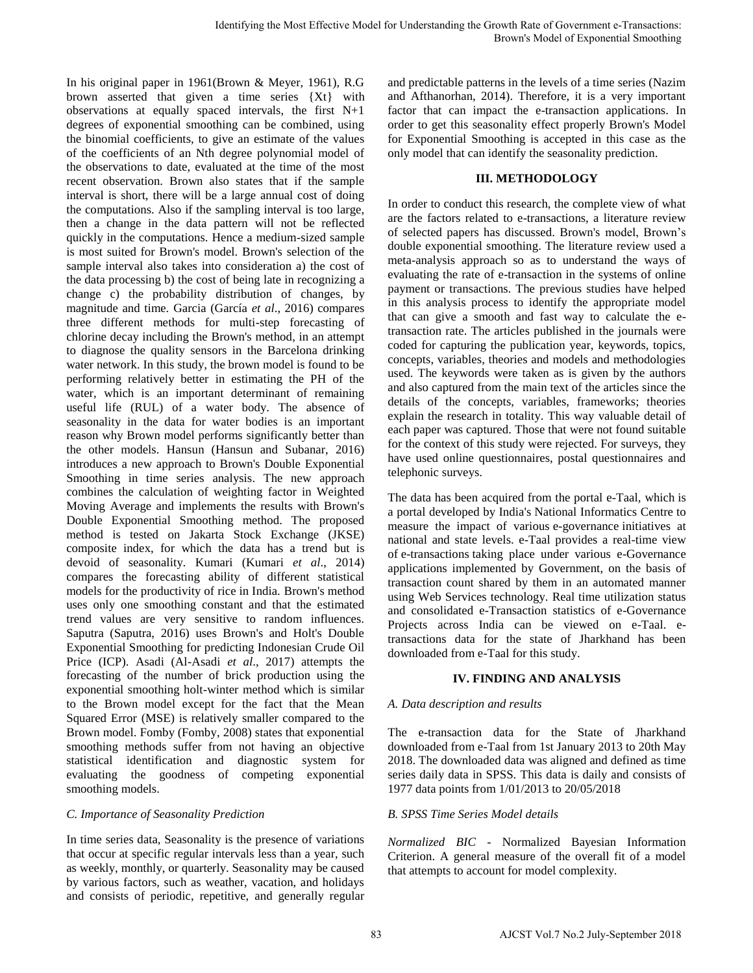In his original paper in 1961(Brown & Meyer, 1961), R.G brown asserted that given a time series {Xt} with observations at equally spaced intervals, the first N+1 degrees of exponential smoothing can be combined, using the binomial coefficients, to give an estimate of the values of the coefficients of an Nth degree polynomial model of the observations to date, evaluated at the time of the most recent observation. Brown also states that if the sample interval is short, there will be a large annual cost of doing the computations. Also if the sampling interval is too large, then a change in the data pattern will not be reflected quickly in the computations. Hence a medium-sized sample is most suited for Brown's model. Brown's selection of the sample interval also takes into consideration a) the cost of the data processing b) the cost of being late in recognizing a change c) the probability distribution of changes, by magnitude and time. Garcia (García *et al*., 2016) compares three different methods for multi-step forecasting of chlorine decay including the Brown's method, in an attempt to diagnose the quality sensors in the Barcelona drinking water network. In this study, the brown model is found to be performing relatively better in estimating the PH of the water, which is an important determinant of remaining useful life (RUL) of a water body. The absence of seasonality in the data for water bodies is an important reason why Brown model performs significantly better than the other models. Hansun (Hansun and Subanar, 2016) introduces a new approach to Brown's Double Exponential Smoothing in time series analysis. The new approach combines the calculation of weighting factor in Weighted Moving Average and implements the results with Brown's Double Exponential Smoothing method. The proposed method is tested on Jakarta Stock Exchange (JKSE) composite index, for which the data has a trend but is devoid of seasonality. Kumari (Kumari *et al*., 2014) compares the forecasting ability of different statistical models for the productivity of rice in India. Brown's method uses only one smoothing constant and that the estimated trend values are very sensitive to random influences. Saputra (Saputra, 2016) uses Brown's and Holt's Double Exponential Smoothing for predicting Indonesian Crude Oil Price (ICP). Asadi (Al-Asadi *et al*., 2017) attempts the forecasting of the number of brick production using the exponential smoothing holt-winter method which is similar to the Brown model except for the fact that the Mean Squared Error (MSE) is relatively smaller compared to the Brown model. Fomby (Fomby, 2008) states that exponential smoothing methods suffer from not having an objective statistical identification and diagnostic system for evaluating the goodness of competing exponential smoothing models. Liquidate Shows 198 AJCST Vol. 2 and the controlline in the september 2 Transactions and the september 2018 AJCST Vol. 2 and the Controlline of Alcs Controlline and Alcs Controlline and Alcs Controlline and Alcs Controlli

#### *C. Importance of Seasonality Prediction*

In time series data, Seasonality is the presence of variations that occur at specific regular intervals less than a year, such as weekly, monthly, or quarterly. Seasonality may be caused by various factors, such as weather, vacation, and holidays and consists of periodic, repetitive, and generally regular and predictable patterns in the levels of a time series (Nazim and Afthanorhan, 2014). Therefore, it is a very important factor that can impact the e-transaction applications. In order to get this seasonality effect properly Brown's Model for Exponential Smoothing is accepted in this case as the only model that can identify the seasonality prediction.

#### **III. METHODOLOGY**

In order to conduct this research, the complete view of what are the factors related to e-transactions, a literature review of selected papers has discussed. Brown's model, Brown's double exponential smoothing. The literature review used a meta-analysis approach so as to understand the ways of evaluating the rate of e-transaction in the systems of online payment or transactions. The previous studies have helped in this analysis process to identify the appropriate model that can give a smooth and fast way to calculate the etransaction rate. The articles published in the journals were coded for capturing the publication year, keywords, topics, concepts, variables, theories and models and methodologies used. The keywords were taken as is given by the authors and also captured from the main text of the articles since the details of the concepts, variables, frameworks; theories explain the research in totality. This way valuable detail of each paper was captured. Those that were not found suitable for the context of this study were rejected. For surveys, they have used online questionnaires, postal questionnaires and telephonic surveys.

The data has been acquired from the portal e-Taal, which is a portal developed by India'[s National Informatics Centre](https://en.wikipedia.org/wiki/National_Informatics_Centre) to measure the impact of variou[s e-governance](https://en.wikipedia.org/wiki/E-governance) initiatives at national and state levels. e-Taal provides a real-time view of [e-transactions](https://en.wikipedia.org/wiki/E-commerce) taking place under various e-Governance applications implemented by Government, on the basis of transaction count shared by them in an automated manner using Web Services technology. Real time utilization status and consolidated e-Transaction statistics of e-Governance Projects across India can be viewed on e-Taal. etransactions data for the state of Jharkhand has been downloaded from e-Taal for this study.

## **IV. FINDING AND ANALYSIS**

## *A. Data description and results*

The e-transaction data for the State of Jharkhand downloaded from e-Taal from 1st January 2013 to 20th May 2018. The downloaded data was aligned and defined as time series daily data in SPSS. This data is daily and consists of 1977 data points from 1/01/2013 to 20/05/2018

## *B. SPSS Time Series Model details*

*Normalized BIC* - Normalized Bayesian Information Criterion. A general measure of the overall fit of a model that attempts to account for model complexity.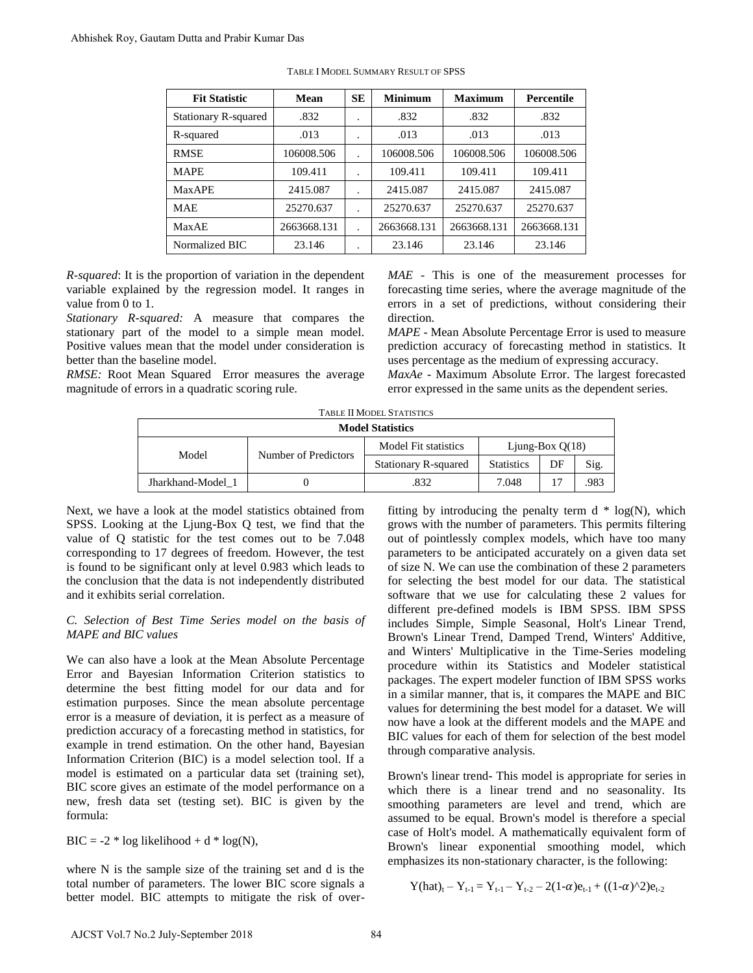| <b>Fit Statistic</b>        | Mean        | <b>SE</b> | <b>Minimum</b> | <b>Maximum</b> | <b>Percentile</b> |  |  |  |
|-----------------------------|-------------|-----------|----------------|----------------|-------------------|--|--|--|
| <b>Stationary R-squared</b> | .832        | $\cdot$   | .832           | .832           | .832              |  |  |  |
| R-squared                   | .013        | $\bullet$ | .013           | .013           | .013              |  |  |  |
| <b>RMSE</b>                 | 106008.506  |           | 106008.506     | 106008.506     | 106008.506        |  |  |  |
| <b>MAPE</b>                 | 109.411     | ٠         | 109.411        | 109.411        | 109.411           |  |  |  |
| <b>MaxAPE</b>               | 2415.087    |           | 2415.087       | 2415.087       | 2415.087          |  |  |  |
| <b>MAE</b>                  | 25270.637   | $\cdot$   | 25270.637      | 25270.637      | 25270.637         |  |  |  |
| <b>MaxAE</b>                | 2663668.131 | $\cdot$   | 2663668.131    | 2663668.131    | 2663668.131       |  |  |  |
| Normalized BIC              | 23.146      | ٠         | 23.146         | 23.146         | 23.146            |  |  |  |

TABLE I MODEL SUMMARY RESULT OF SPSS

*R-squared*: It is the proportion of variation in the dependent variable explained by the regression model. It ranges in value from 0 to 1.

*Stationary R-squared:* A measure that compares the stationary part of the model to a simple mean model. Positive values mean that the model under consideration is better than the baseline model.

*RMSE:* Root Mean Squared Error measures the average magnitude of errors in a quadratic scoring rule.

*MAE* - This is one of the measurement processes for forecasting time series, where the average magnitude of the errors in a set of predictions, without considering their direction.

*MAPE* - Mean Absolute Percentage Error is used to measure prediction accuracy of forecasting method in statistics. It uses percentage as the medium of expressing accuracy.

*MaxAe* - Maximum Absolute Error. The largest forecasted error expressed in the same units as the dependent series.

| <b>TABLE II MODEL STATISTICS</b> |                      |                             |                   |    |      |  |  |  |  |  |  |  |
|----------------------------------|----------------------|-----------------------------|-------------------|----|------|--|--|--|--|--|--|--|
| <b>Model Statistics</b>          |                      |                             |                   |    |      |  |  |  |  |  |  |  |
| Model                            | Number of Predictors | Model Fit statistics        | Ljung-Box $Q(18)$ |    |      |  |  |  |  |  |  |  |
|                                  |                      | <b>Stationary R-squared</b> | <b>Statistics</b> | DF | Sig. |  |  |  |  |  |  |  |
| Jharkhand-Model 1                |                      | .832                        | 7.048             |    | .983 |  |  |  |  |  |  |  |

Next, we have a look at the model statistics obtained from SPSS. Looking at the Ljung-Box Q test, we find that the value of Q statistic for the test comes out to be 7.048 corresponding to 17 degrees of freedom. However, the test is found to be significant only at level 0.983 which leads to the conclusion that the data is not independently distributed and it exhibits serial correlation.

### *C. Selection of Best Time Series model on the basis of MAPE and BIC values*

We can also have a look at the Mean Absolute Percentage Error and Bayesian Information Criterion statistics to determine the best fitting model for our data and for estimation purposes. Since the mean absolute percentage error is a measure of deviation, it is perfect as a measure of prediction accuracy of a forecasting method in statistics, for example in trend estimation. On the other hand, Bayesian Information Criterion (BIC) is a model selection tool. If a model is estimated on a particular data set (training set), BIC score gives an estimate of the model performance on a new, fresh data set (testing set). BIC is given by the formula: Abhishek Roy, Gautam Dutta and Prabir Kumar Das<br>
TABLE 1 Statistic Mean SE<br>
TABLE Vol.7 Statistic Mean SE<br>
THE Statistic Mean SE<br>
Resquence and SE<br>
Resquence and SE<br>
Resquence and SE<br>
NAFE 2415.087<br>
MAPK<br>
MAPK 2245.087<br>
M

BIC =  $-2 * log likelihood + d * log(N)$ ,

where N is the sample size of the training set and d is the total number of parameters. The lower BIC score signals a better model. BIC attempts to mitigate the risk of overfitting by introducing the penalty term  $d * log(N)$ , which grows with the number of parameters. This permits filtering out of pointlessly complex models, which have too many parameters to be anticipated accurately on a given data set of size N. We can use the combination of these 2 parameters for selecting the best model for our data. The statistical software that we use for calculating these 2 values for different pre-defined models is IBM SPSS. IBM SPSS includes Simple, Simple Seasonal, Holt's Linear Trend, Brown's Linear Trend, Damped Trend, Winters' Additive, and Winters' Multiplicative in the Time-Series modeling procedure within its Statistics and Modeler statistical packages. The expert modeler function of IBM SPSS works in a similar manner, that is, it compares the MAPE and BIC values for determining the best model for a dataset. We will now have a look at the different models and the MAPE and BIC values for each of them for selection of the best model through comparative analysis.

Brown's linear trend- This model is appropriate for series in which there is a linear trend and no seasonality. Its smoothing parameters are level and trend, which are assumed to be equal. Brown's model is therefore a special case of Holt's model. A mathematically equivalent form of Brown's linear exponential smoothing model, which emphasizes its non-stationary character, is the following:

$$
Y(hat)_t - Y_{t-1} = Y_{t-1} - Y_{t-2} - 2(1-\alpha)e_{t-1} + ((1-\alpha)^2)e_{t-2}
$$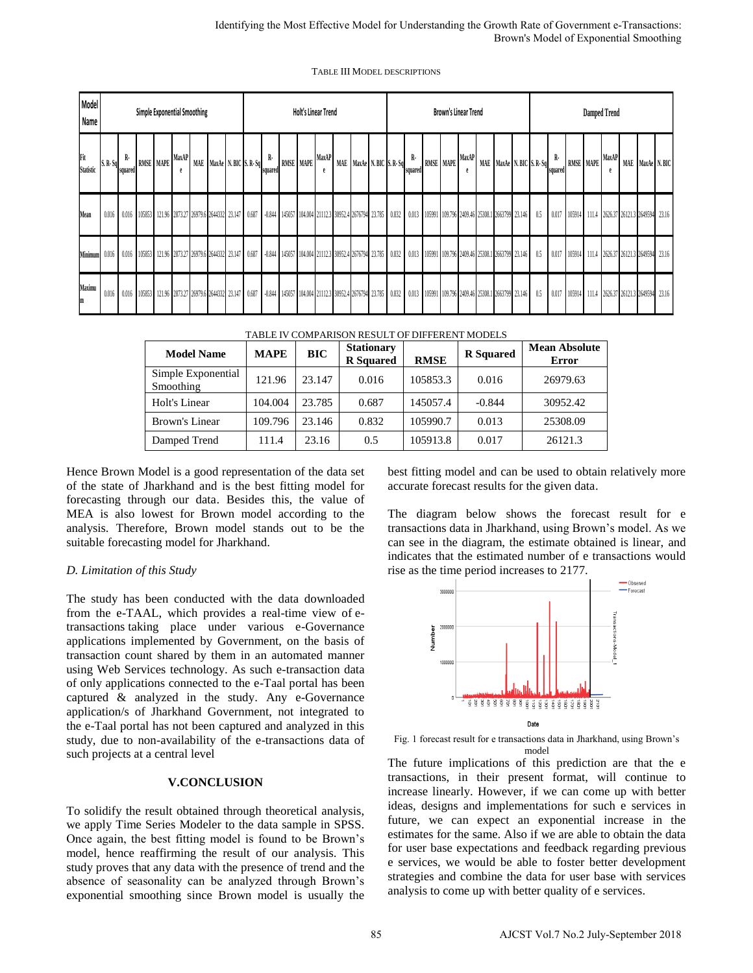| <b>TABLE III MODEL DESCRIPTIONS</b> |  |
|-------------------------------------|--|
|-------------------------------------|--|

|                                                                                                                                                                                                                                                                                                                                                                                                                                                                                                                                                                                                                                                                                                                                                                                        |           |         |           |           |                                       |                                                                                  |                                                          |  |                  |  |  |                                                      |  |  |                                       |                          |                                                                        |                      |                               |                                                           |                |                  |   |                                      |       |                                                           |         |                  |                        |                                            | Identifying the Most Effective Model for Understanding the Growth Rate of Government e-Transactions:<br>Brown's Model of Exponential Smoothing                                                                                                                                                                                                                                                                                                                                                                                                                              |  |
|----------------------------------------------------------------------------------------------------------------------------------------------------------------------------------------------------------------------------------------------------------------------------------------------------------------------------------------------------------------------------------------------------------------------------------------------------------------------------------------------------------------------------------------------------------------------------------------------------------------------------------------------------------------------------------------------------------------------------------------------------------------------------------------|-----------|---------|-----------|-----------|---------------------------------------|----------------------------------------------------------------------------------|----------------------------------------------------------|--|------------------|--|--|------------------------------------------------------|--|--|---------------------------------------|--------------------------|------------------------------------------------------------------------|----------------------|-------------------------------|-----------------------------------------------------------|----------------|------------------|---|--------------------------------------|-------|-----------------------------------------------------------|---------|------------------|------------------------|--------------------------------------------|-----------------------------------------------------------------------------------------------------------------------------------------------------------------------------------------------------------------------------------------------------------------------------------------------------------------------------------------------------------------------------------------------------------------------------------------------------------------------------------------------------------------------------------------------------------------------------|--|
|                                                                                                                                                                                                                                                                                                                                                                                                                                                                                                                                                                                                                                                                                                                                                                                        |           |         |           |           |                                       |                                                                                  |                                                          |  |                  |  |  | <b>TABLE III MODEL DESCRIPTIONS</b>                  |  |  |                                       |                          |                                                                        |                      |                               |                                                           |                |                  |   |                                      |       |                                                           |         |                  |                        |                                            |                                                                                                                                                                                                                                                                                                                                                                                                                                                                                                                                                                             |  |
| Model<br>Name                                                                                                                                                                                                                                                                                                                                                                                                                                                                                                                                                                                                                                                                                                                                                                          |           |         |           |           | Simple Exponential Smoothing          | <b>Holt's Linear Trend</b><br><b>Brown's Linear Trend</b><br><b>Damped Trend</b> |                                                          |  |                  |  |  |                                                      |  |  |                                       |                          |                                                                        |                      |                               |                                                           |                |                  |   |                                      |       |                                                           |         |                  |                        |                                            |                                                                                                                                                                                                                                                                                                                                                                                                                                                                                                                                                                             |  |
| Fit<br><b>Statistic</b>                                                                                                                                                                                                                                                                                                                                                                                                                                                                                                                                                                                                                                                                                                                                                                | $S. R-Sq$ | squared | RMSE MAPE | MaxAP     |                                       |                                                                                  | MAE MaxAe N. BIC S. R. Sq                                |  | R-<br>squared    |  |  | RMSE MAPE MaxAP                                      |  |  |                                       | MAE MaxAe N. BIC S. R-Sq | $\mathbf{R}$<br>RMSE MAPE MaxAP<br>MAE MaxAe N. BIC S. R-Sq<br>squared |                      |                               |                                                           | souared        | RMSE MAPE MaxAP  |   |                                      |       | MAE MaxAe N.BIC                                           |         |                  |                        |                                            |                                                                                                                                                                                                                                                                                                                                                                                                                                                                                                                                                                             |  |
| Mean                                                                                                                                                                                                                                                                                                                                                                                                                                                                                                                                                                                                                                                                                                                                                                                   | $0.016$ 1 |         |           |           |                                       |                                                                                  | 0.016 105853 121.96 2873.27 26979.6 2644332 23.147 0.687 |  |                  |  |  | -0.844 145057 104.004 21112.3 30952.4 2676794 23.785 |  |  |                                       |                          |                                                                        |                      |                               | 0.832 0.013 105991 109.796 2409.46 25308.1 2663799 23.146 |                |                  |   | $0.5\,$                              |       | 0.017 105914 111.4 2626.37 26121.3 2649594 23.16          |         |                  |                        |                                            |                                                                                                                                                                                                                                                                                                                                                                                                                                                                                                                                                                             |  |
| Minimum                                                                                                                                                                                                                                                                                                                                                                                                                                                                                                                                                                                                                                                                                                                                                                                | 0.016     |         |           |           |                                       |                                                                                  | 0.016 105853 121.96 2873.27 26979.6 2644332 23.147 0.687 |  | $-0.844$         |  |  | 145057 104.004 21112.3 30952.4 2676794 23.785        |  |  |                                       |                          |                                                                        |                      |                               | 0.832 0.013 105991 109.796 2409.46 25308.1 2663799 23.146 |                |                  |   | 0.5                                  | 0.017 |                                                           |         |                  |                        | 105914 111.4 2626.37 26121.3 2649594 23.16 |                                                                                                                                                                                                                                                                                                                                                                                                                                                                                                                                                                             |  |
| Maximu                                                                                                                                                                                                                                                                                                                                                                                                                                                                                                                                                                                                                                                                                                                                                                                 | 0.016     |         |           |           |                                       |                                                                                  | 0.016 105853 121.96 2873.27 26979.6 2644332 23.147 0.687 |  |                  |  |  | -0.844 145057 104.004 21112.3 30952.4 2676794 23.785 |  |  |                                       |                          |                                                                        |                      |                               | 0.832 0.013 105991 109.796 2409.46 25308.1 2663799 23.146 |                |                  |   | 0.5                                  |       | 0.017 105914 111.4 2626.37 26121.3 2649594 23.16          |         |                  |                        |                                            |                                                                                                                                                                                                                                                                                                                                                                                                                                                                                                                                                                             |  |
|                                                                                                                                                                                                                                                                                                                                                                                                                                                                                                                                                                                                                                                                                                                                                                                        |           |         |           |           |                                       |                                                                                  |                                                          |  |                  |  |  | TABLE IV COMPARISON RESULT OF DIFFERENT MODELS       |  |  |                                       |                          |                                                                        |                      |                               |                                                           |                |                  |   |                                      |       |                                                           |         |                  |                        |                                            |                                                                                                                                                                                                                                                                                                                                                                                                                                                                                                                                                                             |  |
|                                                                                                                                                                                                                                                                                                                                                                                                                                                                                                                                                                                                                                                                                                                                                                                        |           |         |           |           | <b>Model Name</b>                     |                                                                                  |                                                          |  | <b>MAPE</b>      |  |  | <b>BIC</b>                                           |  |  | <b>Stationary</b><br><b>R</b> Squared |                          |                                                                        | <b>RMSE</b>          |                               |                                                           |                | <b>R</b> Squared |   | <b>Mean Absolute</b><br><b>Error</b> |       |                                                           |         |                  |                        |                                            |                                                                                                                                                                                                                                                                                                                                                                                                                                                                                                                                                                             |  |
|                                                                                                                                                                                                                                                                                                                                                                                                                                                                                                                                                                                                                                                                                                                                                                                        |           |         |           | Smoothing | Simple Exponential                    |                                                                                  |                                                          |  | 121.96           |  |  | 23.147                                               |  |  | 0.016                                 |                          |                                                                        | 105853.3             |                               |                                                           | 0.016          |                  |   | 26979.63                             |       |                                                           |         |                  |                        |                                            |                                                                                                                                                                                                                                                                                                                                                                                                                                                                                                                                                                             |  |
|                                                                                                                                                                                                                                                                                                                                                                                                                                                                                                                                                                                                                                                                                                                                                                                        |           |         |           |           | Holt's Linear                         |                                                                                  |                                                          |  | 104.004          |  |  | 23.785                                               |  |  | 0.687                                 |                          |                                                                        | 145057.4             |                               |                                                           | $-0.844$       |                  |   | 30952.42                             |       |                                                           |         |                  |                        |                                            |                                                                                                                                                                                                                                                                                                                                                                                                                                                                                                                                                                             |  |
|                                                                                                                                                                                                                                                                                                                                                                                                                                                                                                                                                                                                                                                                                                                                                                                        |           |         |           |           | <b>Brown's Linear</b><br>Damped Trend |                                                                                  |                                                          |  | 109.796<br>111.4 |  |  | 23.146<br>23.16                                      |  |  | 0.832<br>0.5                          |                          |                                                                        | 105990.7<br>105913.8 |                               |                                                           | 0.013<br>0.017 |                  |   | 25308.09                             |       |                                                           | 26121.3 |                  |                        |                                            |                                                                                                                                                                                                                                                                                                                                                                                                                                                                                                                                                                             |  |
| alysis. Therefore, Brown model stands out to be the<br>itable forecasting model for Jharkhand.<br>Limitation of this Study<br>ne study has been conducted with the data downloaded<br>om the e-TAAL, which provides a real-time view of e-<br>ansactions taking place under various e-Governance<br>oplications implemented by Government, on the basis of<br>ansaction count shared by them in an automated manner<br>ing Web Services technology. As such e-transaction data<br>only applications connected to the e-Taal portal has been<br>ptured & analyzed in the study. Any e-Governance<br>oplication/s of Jharkhand Government, not integrated to<br>e e-Taal portal has not been captured and analyzed in this<br>udy, due to non-availability of the e-transactions data of |           |         |           |           |                                       |                                                                                  |                                                          |  |                  |  |  |                                                      |  |  |                                       |                          |                                                                        | Number               | 3000000<br>2000000<br>1000000 |                                                           | ੁੰ             |                  | ă | Date<br>model                        | g     | rise as the time period increases to 2177.<br>8 3 8 8 8 3 |         | ransactions-Mode | Observed<br>· Forecast |                                            | transactions data in Jharkhand, using Brown's model. As we<br>can see in the diagram, the estimate obtained is linear, and<br>indicates that the estimated number of e transactions would<br>Fig. 1 forecast result for e transactions data in Jharkhand, using Brown's                                                                                                                                                                                                                                                                                                     |  |
| ch projects at a central level<br>o solidify the result obtained through theoretical analysis,<br>e apply Time Series Modeler to the data sample in SPSS.<br>nce again, the best fitting model is found to be Brown's<br>odel, hence reaffirming the result of our analysis. This<br>udy proves that any data with the presence of trend and the<br>osence of seasonality can be analyzed through Brown's<br>ponential smoothing since Brown model is usually the                                                                                                                                                                                                                                                                                                                      |           |         |           |           |                                       |                                                                                  | <b>V.CONCLUSION</b>                                      |  |                  |  |  |                                                      |  |  |                                       |                          |                                                                        |                      |                               |                                                           |                |                  |   |                                      |       | analysis to come up with better quality of e services.    |         |                  |                        |                                            | The future implications of this prediction are that the $\epsilon$<br>transactions, in their present format, will continue to<br>increase linearly. However, if we can come up with better<br>ideas, designs and implementations for such e services in<br>future, we can expect an exponential increase in the<br>estimates for the same. Also if we are able to obtain the data<br>for user base expectations and feedback regarding previous<br>e services, we would be able to foster better development<br>strategies and combine the data for user base with services |  |
|                                                                                                                                                                                                                                                                                                                                                                                                                                                                                                                                                                                                                                                                                                                                                                                        |           |         |           |           |                                       |                                                                                  |                                                          |  |                  |  |  |                                                      |  |  | 85                                    |                          |                                                                        |                      |                               |                                                           |                |                  |   |                                      |       |                                                           |         |                  |                        |                                            | AJCST Vol.7 No.2 July-September 2018                                                                                                                                                                                                                                                                                                                                                                                                                                                                                                                                        |  |

| <b>Model Name</b>               | <b>MAPE</b> | <b>BIC</b> | <b>Stationary</b><br><b>R</b> Squared | <b>RMSE</b> | <b>R</b> Squared | <b>Mean Absolute</b><br>Error |  |  |  |  |
|---------------------------------|-------------|------------|---------------------------------------|-------------|------------------|-------------------------------|--|--|--|--|
| Simple Exponential<br>Smoothing | 121.96      | 23.147     | 0.016                                 | 105853.3    | 0.016            | 26979.63                      |  |  |  |  |
| Holt's Linear                   | 104.004     | 23.785     | 0.687                                 | 145057.4    | $-0.844$         | 30952.42                      |  |  |  |  |
| Brown's Linear                  | 109.796     | 23.146     | 0.832                                 | 105990.7    | 0.013            | 25308.09                      |  |  |  |  |
| Damped Trend                    | 111.4       | 23.16      | 0.5                                   | 105913.8    | 0.017            | 26121.3                       |  |  |  |  |

#### *D. Limitation of this Study*

#### **V.CONCLUSION**